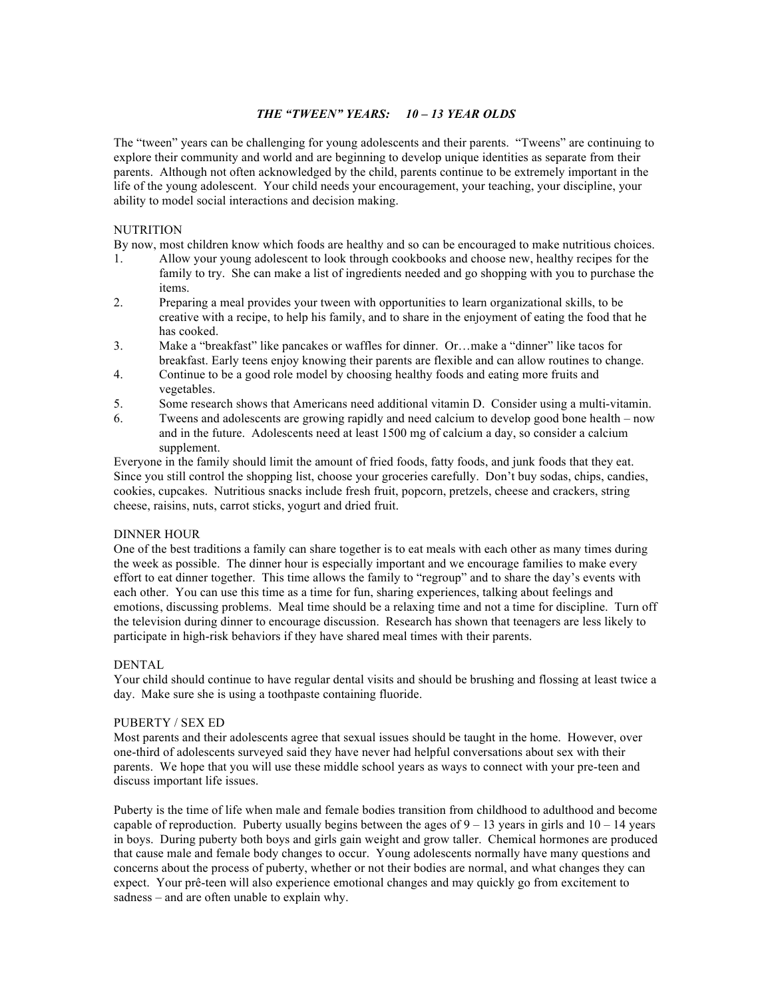# *THE "TWEEN" YEARS: 10 – 13 YEAR OLDS*

The "tween" years can be challenging for young adolescents and their parents. "Tweens" are continuing to explore their community and world and are beginning to develop unique identities as separate from their parents. Although not often acknowledged by the child, parents continue to be extremely important in the life of the young adolescent. Your child needs your encouragement, your teaching, your discipline, your ability to model social interactions and decision making.

# **NUTRITION**

By now, most children know which foods are healthy and so can be encouraged to make nutritious choices.

- 1. Allow your young adolescent to look through cookbooks and choose new, healthy recipes for the family to try. She can make a list of ingredients needed and go shopping with you to purchase the items.
- 2. Preparing a meal provides your tween with opportunities to learn organizational skills, to be creative with a recipe, to help his family, and to share in the enjoyment of eating the food that he has cooked.
- 3. Make a "breakfast" like pancakes or waffles for dinner. Or…make a "dinner" like tacos for breakfast. Early teens enjoy knowing their parents are flexible and can allow routines to change.
- 4. Continue to be a good role model by choosing healthy foods and eating more fruits and vegetables.
- 5. Some research shows that Americans need additional vitamin D. Consider using a multi-vitamin.
- 6. Tweens and adolescents are growing rapidly and need calcium to develop good bone health now and in the future. Adolescents need at least 1500 mg of calcium a day, so consider a calcium supplement.

Everyone in the family should limit the amount of fried foods, fatty foods, and junk foods that they eat. Since you still control the shopping list, choose your groceries carefully. Don't buy sodas, chips, candies, cookies, cupcakes. Nutritious snacks include fresh fruit, popcorn, pretzels, cheese and crackers, string cheese, raisins, nuts, carrot sticks, yogurt and dried fruit.

# DINNER HOUR

One of the best traditions a family can share together is to eat meals with each other as many times during the week as possible. The dinner hour is especially important and we encourage families to make every effort to eat dinner together. This time allows the family to "regroup" and to share the day's events with each other. You can use this time as a time for fun, sharing experiences, talking about feelings and emotions, discussing problems. Meal time should be a relaxing time and not a time for discipline. Turn off the television during dinner to encourage discussion. Research has shown that teenagers are less likely to participate in high-risk behaviors if they have shared meal times with their parents.

## **DENTAL**

Your child should continue to have regular dental visits and should be brushing and flossing at least twice a day. Make sure she is using a toothpaste containing fluoride.

## PUBERTY / SEX ED

Most parents and their adolescents agree that sexual issues should be taught in the home. However, over one-third of adolescents surveyed said they have never had helpful conversations about sex with their parents. We hope that you will use these middle school years as ways to connect with your pre-teen and discuss important life issues.

Puberty is the time of life when male and female bodies transition from childhood to adulthood and become capable of reproduction. Puberty usually begins between the ages of  $9 - 13$  years in girls and  $10 - 14$  years in boys. During puberty both boys and girls gain weight and grow taller. Chemical hormones are produced that cause male and female body changes to occur. Young adolescents normally have many questions and concerns about the process of puberty, whether or not their bodies are normal, and what changes they can expect. Your prê-teen will also experience emotional changes and may quickly go from excitement to sadness – and are often unable to explain why.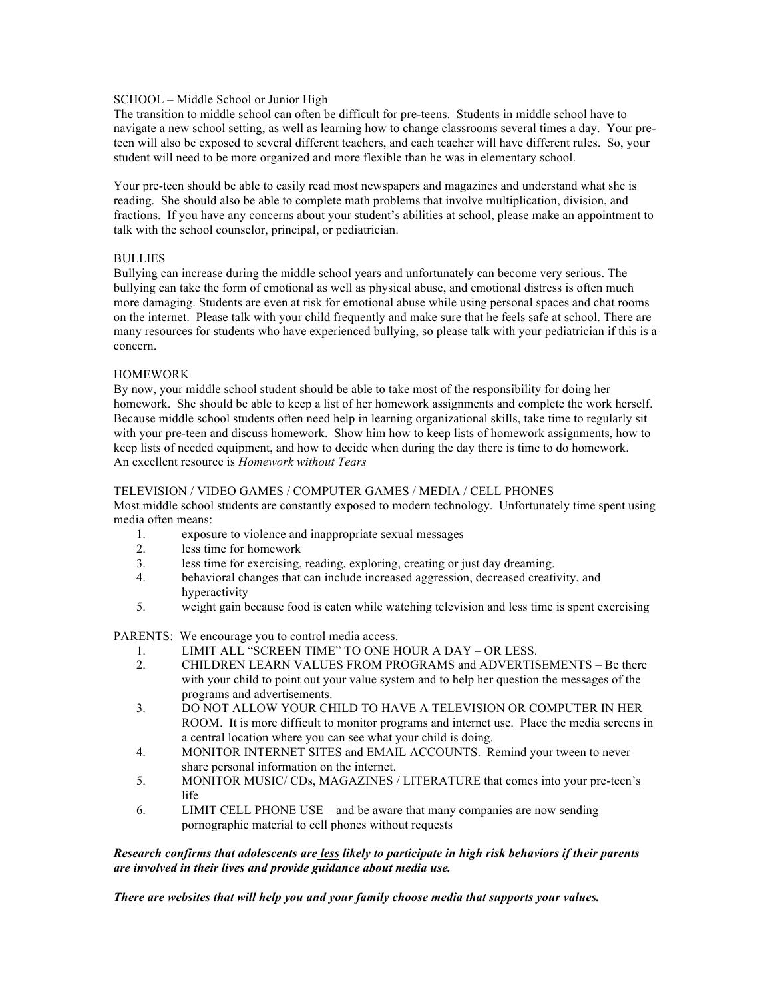# SCHOOL – Middle School or Junior High

The transition to middle school can often be difficult for pre-teens. Students in middle school have to navigate a new school setting, as well as learning how to change classrooms several times a day. Your preteen will also be exposed to several different teachers, and each teacher will have different rules. So, your student will need to be more organized and more flexible than he was in elementary school.

Your pre-teen should be able to easily read most newspapers and magazines and understand what she is reading. She should also be able to complete math problems that involve multiplication, division, and fractions. If you have any concerns about your student's abilities at school, please make an appointment to talk with the school counselor, principal, or pediatrician.

# BULLIES

Bullying can increase during the middle school years and unfortunately can become very serious. The bullying can take the form of emotional as well as physical abuse, and emotional distress is often much more damaging. Students are even at risk for emotional abuse while using personal spaces and chat rooms on the internet. Please talk with your child frequently and make sure that he feels safe at school. There are many resources for students who have experienced bullying, so please talk with your pediatrician if this is a concern.

# HOMEWORK

By now, your middle school student should be able to take most of the responsibility for doing her homework. She should be able to keep a list of her homework assignments and complete the work herself. Because middle school students often need help in learning organizational skills, take time to regularly sit with your pre-teen and discuss homework. Show him how to keep lists of homework assignments, how to keep lists of needed equipment, and how to decide when during the day there is time to do homework. An excellent resource is *Homework without Tears*

# TELEVISION / VIDEO GAMES / COMPUTER GAMES / MEDIA / CELL PHONES

Most middle school students are constantly exposed to modern technology. Unfortunately time spent using media often means:

- 1. exposure to violence and inappropriate sexual messages
- 2. less time for homework
- 3. less time for exercising, reading, exploring, creating or just day dreaming.
- 4. behavioral changes that can include increased aggression, decreased creativity, and hyperactivity
- 5. weight gain because food is eaten while watching television and less time is spent exercising

PARENTS: We encourage you to control media access.

- 1. LIMIT ALL "SCREEN TIME" TO ONE HOUR A DAY OR LESS.
- 2. CHILDREN LEARN VALUES FROM PROGRAMS and ADVERTISEMENTS Be there with your child to point out your value system and to help her question the messages of the programs and advertisements.
- 3. DO NOT ALLOW YOUR CHILD TO HAVE A TELEVISION OR COMPUTER IN HER ROOM. It is more difficult to monitor programs and internet use. Place the media screens in a central location where you can see what your child is doing.
- 4. MONITOR INTERNET SITES and EMAIL ACCOUNTS. Remind your tween to never share personal information on the internet.
- 5. MONITOR MUSIC/ CDs, MAGAZINES / LITERATURE that comes into your pre-teen's life
- 6. LIMIT CELL PHONE USE and be aware that many companies are now sending pornographic material to cell phones without requests

# *Research confirms that adolescents are less likely to participate in high risk behaviors if their parents are involved in their lives and provide guidance about media use.*

*There are websites that will help you and your family choose media that supports your values.*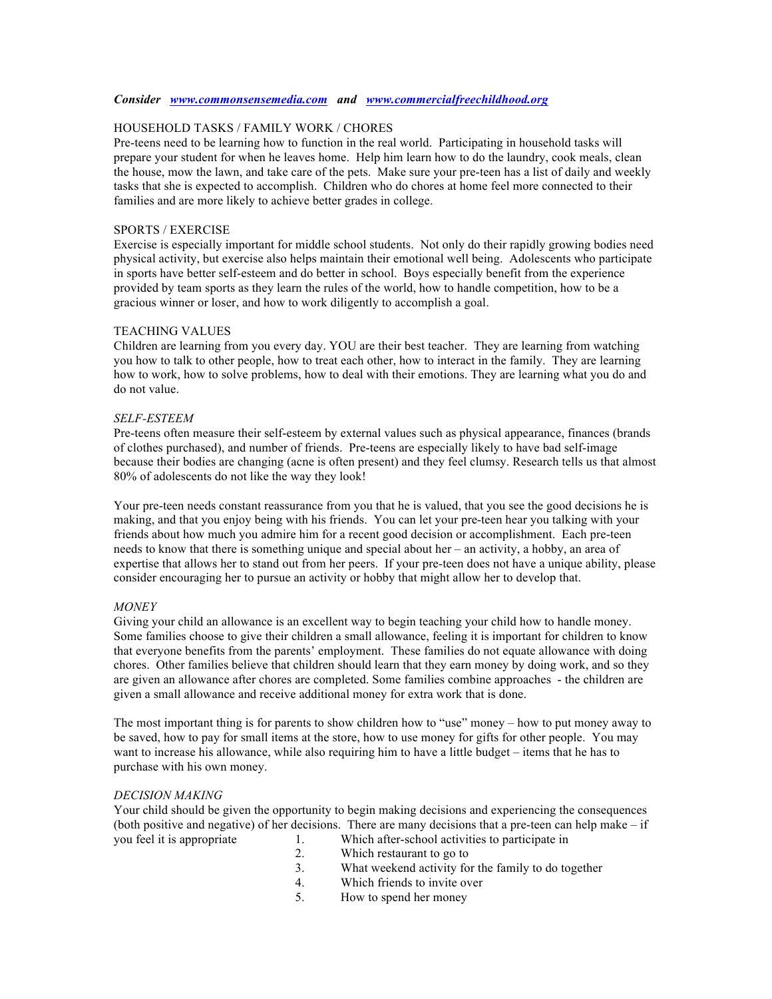#### *Consider www.commonsensemedia.com and www.commercialfreechildhood.org*

## HOUSEHOLD TASKS / FAMILY WORK / CHORES

Pre-teens need to be learning how to function in the real world. Participating in household tasks will prepare your student for when he leaves home. Help him learn how to do the laundry, cook meals, clean the house, mow the lawn, and take care of the pets. Make sure your pre-teen has a list of daily and weekly tasks that she is expected to accomplish. Children who do chores at home feel more connected to their families and are more likely to achieve better grades in college.

#### SPORTS / EXERCISE

Exercise is especially important for middle school students. Not only do their rapidly growing bodies need physical activity, but exercise also helps maintain their emotional well being. Adolescents who participate in sports have better self-esteem and do better in school. Boys especially benefit from the experience provided by team sports as they learn the rules of the world, how to handle competition, how to be a gracious winner or loser, and how to work diligently to accomplish a goal.

#### TEACHING VALUES

Children are learning from you every day. YOU are their best teacher. They are learning from watching you how to talk to other people, how to treat each other, how to interact in the family. They are learning how to work, how to solve problems, how to deal with their emotions. They are learning what you do and do not value.

#### *SELF-ESTEEM*

Pre-teens often measure their self-esteem by external values such as physical appearance, finances (brands of clothes purchased), and number of friends. Pre-teens are especially likely to have bad self-image because their bodies are changing (acne is often present) and they feel clumsy. Research tells us that almost 80% of adolescents do not like the way they look!

Your pre-teen needs constant reassurance from you that he is valued, that you see the good decisions he is making, and that you enjoy being with his friends. You can let your pre-teen hear you talking with your friends about how much you admire him for a recent good decision or accomplishment. Each pre-teen needs to know that there is something unique and special about her – an activity, a hobby, an area of expertise that allows her to stand out from her peers. If your pre-teen does not have a unique ability, please consider encouraging her to pursue an activity or hobby that might allow her to develop that.

## *MONEY*

Giving your child an allowance is an excellent way to begin teaching your child how to handle money. Some families choose to give their children a small allowance, feeling it is important for children to know that everyone benefits from the parents' employment. These families do not equate allowance with doing chores. Other families believe that children should learn that they earn money by doing work, and so they are given an allowance after chores are completed. Some families combine approaches - the children are given a small allowance and receive additional money for extra work that is done.

The most important thing is for parents to show children how to "use" money – how to put money away to be saved, how to pay for small items at the store, how to use money for gifts for other people. You may want to increase his allowance, while also requiring him to have a little budget – items that he has to purchase with his own money.

## *DECISION MAKING*

Your child should be given the opportunity to begin making decisions and experiencing the consequences (both positive and negative) of her decisions. There are many decisions that a pre-teen can help make – if you feel it is appropriate 1. Which after-school activities to participate in

- 2. Which restaurant to go to
- 3. What weekend activity for the family to do together
- 4. Which friends to invite over
- 5. How to spend her money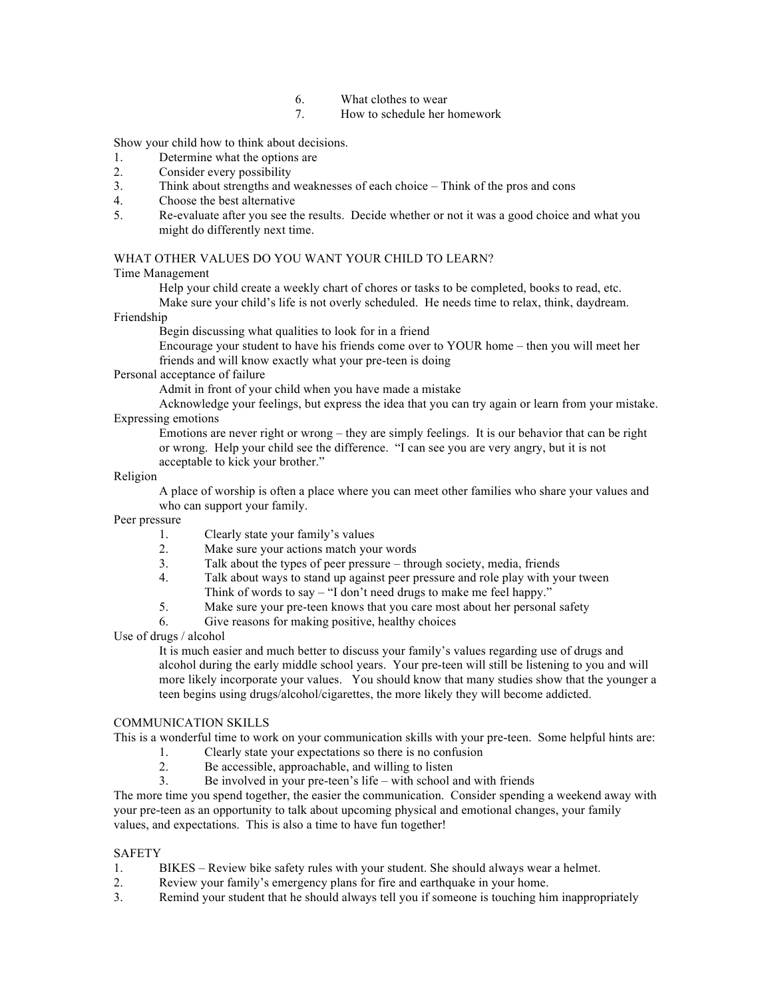- 6. What clothes to wear
- 7. How to schedule her homework

Show your child how to think about decisions.

- 1. Determine what the options are
- 2. Consider every possibility
- 3. Think about strengths and weaknesses of each choice Think of the pros and cons
- 4. Choose the best alternative
- 5. Re-evaluate after you see the results. Decide whether or not it was a good choice and what you might do differently next time.

## WHAT OTHER VALUES DO YOU WANT YOUR CHILD TO LEARN?

## Time Management

Help your child create a weekly chart of chores or tasks to be completed, books to read, etc. Make sure your child's life is not overly scheduled. He needs time to relax, think, daydream.

## Friendship

Begin discussing what qualities to look for in a friend

Encourage your student to have his friends come over to YOUR home – then you will meet her friends and will know exactly what your pre-teen is doing

# Personal acceptance of failure

Admit in front of your child when you have made a mistake

Acknowledge your feelings, but express the idea that you can try again or learn from your mistake. Expressing emotions

Emotions are never right or wrong – they are simply feelings. It is our behavior that can be right or wrong. Help your child see the difference. "I can see you are very angry, but it is not acceptable to kick your brother."

## Religion

A place of worship is often a place where you can meet other families who share your values and who can support your family.

Peer pressure

- 1. Clearly state your family's values
- 2. Make sure your actions match your words
- 3. Talk about the types of peer pressure through society, media, friends
- 4. Talk about ways to stand up against peer pressure and role play with your tween
	- Think of words to say "I don't need drugs to make me feel happy."
- 5. Make sure your pre-teen knows that you care most about her personal safety
- 6. Give reasons for making positive, healthy choices

Use of drugs / alcohol

It is much easier and much better to discuss your family's values regarding use of drugs and alcohol during the early middle school years. Your pre-teen will still be listening to you and will more likely incorporate your values. You should know that many studies show that the younger a teen begins using drugs/alcohol/cigarettes, the more likely they will become addicted.

# COMMUNICATION SKILLS

This is a wonderful time to work on your communication skills with your pre-teen. Some helpful hints are:

- 1. Clearly state your expectations so there is no confusion
- 2. Be accessible, approachable, and willing to listen
- 3. Be involved in your pre-teen's life with school and with friends

The more time you spend together, the easier the communication. Consider spending a weekend away with your pre-teen as an opportunity to talk about upcoming physical and emotional changes, your family values, and expectations. This is also a time to have fun together!

## SAFETY

- 1. BIKES Review bike safety rules with your student. She should always wear a helmet.
- 2. Review your family's emergency plans for fire and earthquake in your home.
- 3. Remind your student that he should always tell you if someone is touching him inappropriately